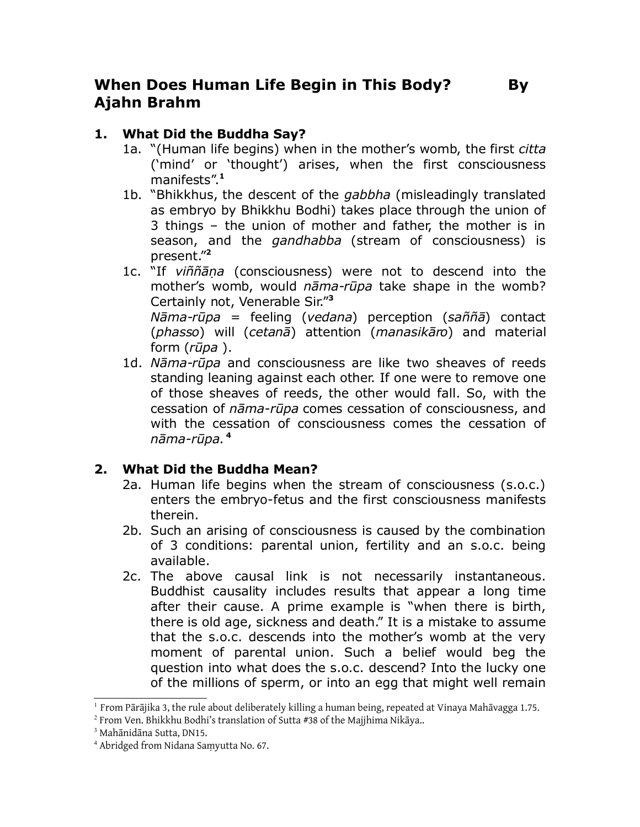# **When Does Human Life Begin in This Body? By Ajahn Brahm**

# **1. What Did the Buddha Say?**

- 1a. "(Human life begins) when in the mother's womb, the first *citta* ('mind' or 'thought') arises, when the first consciousness manifests". **[1](#page-0-0)**
- 1b. "Bhikkhus, the descent of the *gabbha* (misleadingly translated as embryo by Bhikkhu Bodhi) takes place through the union of 3 things – the union of mother and father, the mother is in season, and the *gandhabba* (stream of consciousness) is present." **[2](#page-0-1)**
- 1c. "If *viññā*ṇ*a* (consciousness) were not to descend into the mother's womb, would *nāma-rūpa* take shape in the womb? Certainly not, Venerable Sir." **[3](#page-0-2)** *Nāma-rūpa* = feeling (*vedana*) perception (*saññā*) contact (*phasso*) will (*cetanā*) attention (*manasikāro*) and material form (*rūpa* ).
- 1d. *Nāma-rūpa* and consciousness are like two sheaves of reeds standing leaning against each other. If one were to remove one of those sheaves of reeds, the other would fall. So, with the cessation of *nāma-rūpa* comes cessation of consciousness, and with the cessation of consciousness comes the cessation of *nāma-rūpa.* **[4](#page-0-3)**

## **2. What Did the Buddha Mean?**

- 2a. Human life begins when the stream of consciousness (s.o.c.) enters the embryo-fetus and the first consciousness manifests therein.
- 2b. Such an arising of consciousness is caused by the combination of 3 conditions: parental union, fertility and an s.o.c. being available.
- 2c. The above causal link is not necessarily instantaneous. Buddhist causality includes results that appear a long time after their cause. A prime example is "when there is birth, there is old age, sickness and death." It is a mistake to assume that the s.o.c. descends into the mother's womb at the very moment of parental union. Such a belief would beg the question into what does the s.o.c. descend? Into the lucky one of the millions of sperm, or into an egg that might well remain

<span id="page-0-0"></span> $^{\rm 1}$  From Pārājika 3, the rule about deliberately killing a human being, repeated at Vinaya Mahāvagga 1.75.

<span id="page-0-1"></span> $^2$  From Ven. Bhikkhu Bodhi's translation of Sutta #38 of the Majjhima Nikāya..

<span id="page-0-2"></span><sup>3</sup> Mahānidāna Sutta, DN15.

<span id="page-0-3"></span><sup>4</sup> Abridged from Nidana Saṃyutta No. 67.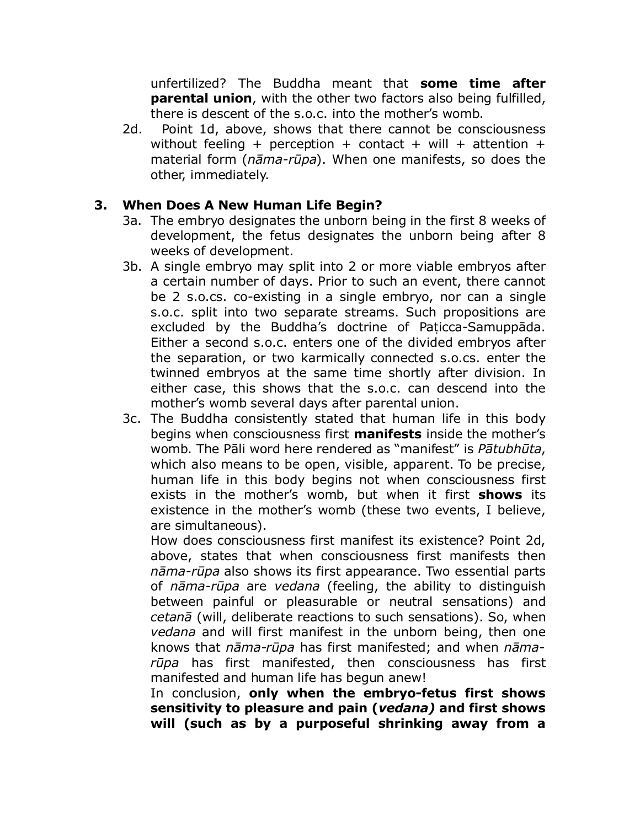unfertilized? The Buddha meant that **some time after parental union**, with the other two factors also being fulfilled, there is descent of the s.o.c. into the mother's womb.

2d. Point 1d, above, shows that there cannot be consciousness without feeling + perception + contact + will + attention + material form (*nāma-rūpa*). When one manifests, so does the other, immediately.

#### **3. When Does A New Human Life Begin?**

- 3a. The embryo designates the unborn being in the first 8 weeks of development, the fetus designates the unborn being after 8 weeks of development.
- 3b. A single embryo may split into 2 or more viable embryos after a certain number of days. Prior to such an event, there cannot be 2 s.o.cs. co-existing in a single embryo, nor can a single s.o.c. split into two separate streams. Such propositions are excluded by the Buddha's doctrine of Paṭicca-Samuppāda. Either a second s.o.c. enters one of the divided embryos after the separation, or two karmically connected s.o.cs. enter the twinned embryos at the same time shortly after division. In either case, this shows that the s.o.c. can descend into the mother's womb several days after parental union.
- 3c. The Buddha consistently stated that human life in this body begins when consciousness first **manifests** inside the mother's womb. The Pāli word here rendered as "manifest" is *Pātubhūta*, which also means to be open, visible, apparent. To be precise, human life in this body begins not when consciousness first exists in the mother's womb, but when it first **shows** its existence in the mother's womb (these two events, I believe, are simultaneous).

How does consciousness first manifest its existence? Point 2d, above, states that when consciousness first manifests then *nāma-rūpa* also shows its first appearance. Two essential parts of *nāma-rūpa* are *vedana* (feeling, the ability to distinguish between painful or pleasurable or neutral sensations) and *cetanā* (will, deliberate reactions to such sensations). So, when *vedana* and will first manifest in the unborn being, then one knows that *nāma-rūpa* has first manifested; and when *nāmarūpa* has first manifested, then consciousness has first manifested and human life has begun anew!

In conclusion, **only when the embryo-fetus first shows sensitivity to pleasure and pain (***vedana)* **and first shows will (such as by a purposeful shrinking away from a**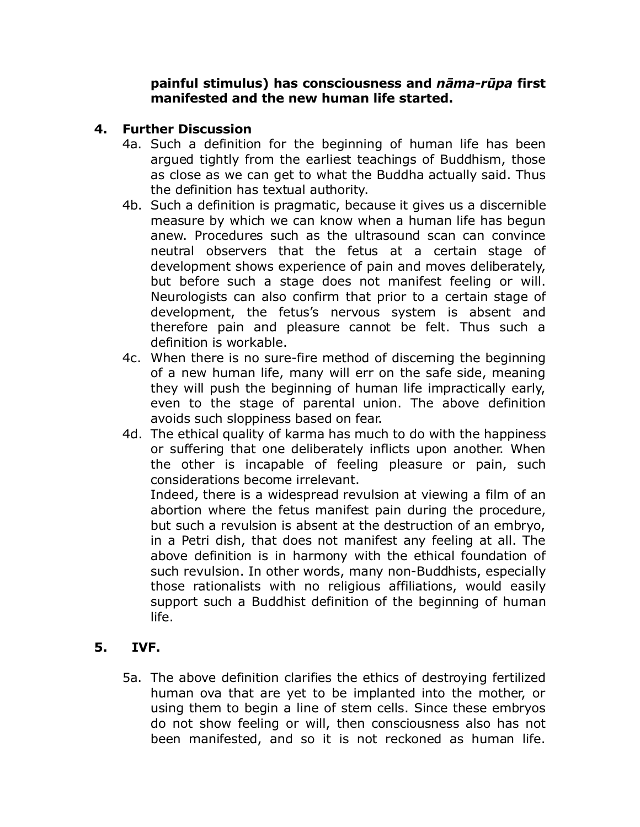#### **painful stimulus) has consciousness and** *nāma-rūpa* **first manifested and the new human life started.**

### **4. Further Discussion**

- 4a. Such a definition for the beginning of human life has been argued tightly from the earliest teachings of Buddhism, those as close as we can get to what the Buddha actually said. Thus the definition has textual authority.
- 4b. Such a definition is pragmatic, because it gives us a discernible measure by which we can know when a human life has begun anew. Procedures such as the ultrasound scan can convince neutral observers that the fetus at a certain stage of development shows experience of pain and moves deliberately, but before such a stage does not manifest feeling or will. Neurologists can also confirm that prior to a certain stage of development, the fetus's nervous system is absent and therefore pain and pleasure cannot be felt. Thus such a definition is workable.
- 4c. When there is no sure-fire method of discerning the beginning of a new human life, many will err on the safe side, meaning they will push the beginning of human life impractically early, even to the stage of parental union. The above definition avoids such sloppiness based on fear.
- 4d. The ethical quality of karma has much to do with the happiness or suffering that one deliberately inflicts upon another. When the other is incapable of feeling pleasure or pain, such considerations become irrelevant.

Indeed, there is a widespread revulsion at viewing a film of an abortion where the fetus manifest pain during the procedure, but such a revulsion is absent at the destruction of an embryo, in a Petri dish, that does not manifest any feeling at all. The above definition is in harmony with the ethical foundation of such revulsion. In other words, many non-Buddhists, especially those rationalists with no religious affiliations, would easily support such a Buddhist definition of the beginning of human life.

### **5. IVF.**

5a. The above definition clarifies the ethics of destroying fertilized human ova that are yet to be implanted into the mother, or using them to begin a line of stem cells. Since these embryos do not show feeling or will, then consciousness also has not been manifested, and so it is not reckoned as human life.